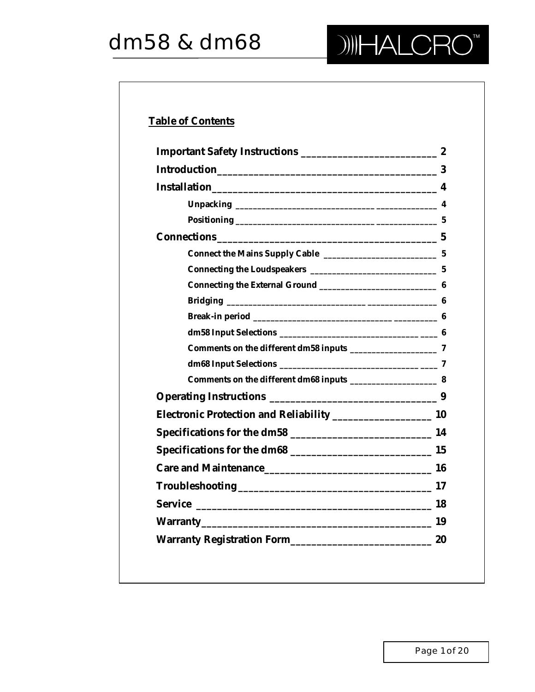

# **Table of Contents**

| Care and Maintenance 16 |  |
|-------------------------|--|
|                         |  |
|                         |  |
|                         |  |
|                         |  |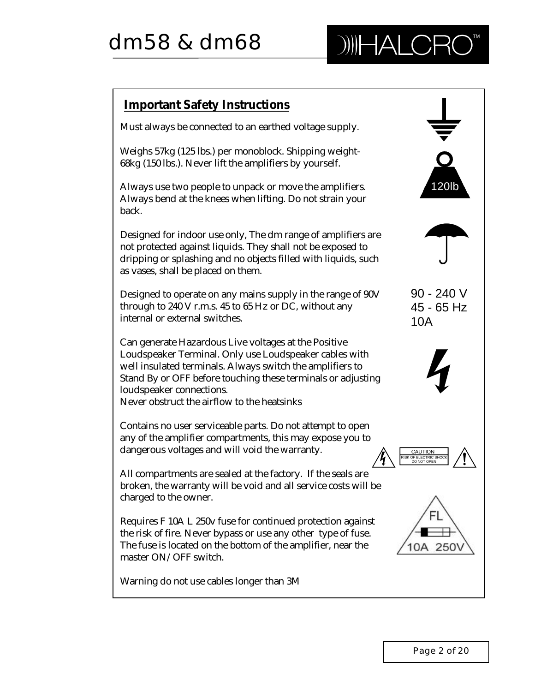

## **Important Safety Instructions** Must always be connected to an earthed voltage supply. Weighs 57kg (125 lbs.) per monoblock. Shipping weight-68kg (150 lbs.). Never lift the amplifiers by yourself. 120lb Always use two people to unpack or move the amplifiers. Always bend at the knees when lifting. Do not strain your back. Designed for indoor use only, The dm range of amplifiers are not protected against liquids. They shall not be exposed to dripping or splashing and no objects filled with liquids, such as vases, shall be placed on them. 90 - 240 V Designed to operate on any mains supply in the range of 90V through to 240 V r.m.s. 45 to 65 Hz or DC, without any 45 - 65 Hz internal or external switches. 10ACan generate Hazardous Live voltages at the Positive Loudspeaker Terminal. Only use Loudspeaker cables with well insulated terminals. Always switch the amplifiers to Stand By or OFF before touching these terminals or adjusting loudspeaker connections. Never obstruct the airflow to the heatsinks Contains no user serviceable parts. Do not attempt to open any of the amplifier compartments, this may expose you to dangerous voltages and will void the warranty. CAUTION RISK OF ELECTRIC SHOCK DO NOT OPEN All compartments are sealed at the factory. If the seals are broken, the warranty will be void and all service costs will be charged to the owner. Requires F 10A L 250v fuse for continued protection against the risk of fire. Never bypass or use any other type of fuse. The fuse is located on the bottom of the amplifier, near the 10A 250 master ON/OFF switch. Warning do not use cables longer than 3M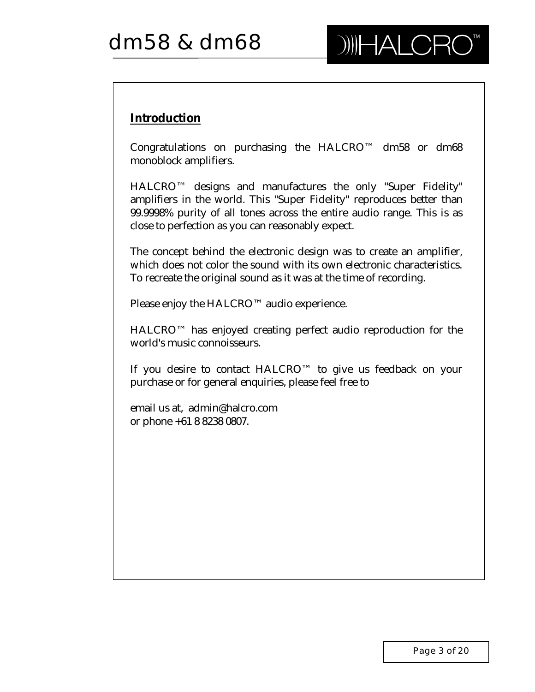# **Introduction**

Congratulations on purchasing the HALCRO™ dm58 or dm68 monoblock amplifiers.

HALCRO™ designs and manufactures the only "Super Fidelity" amplifiers in the world. This "Super Fidelity" reproduces better than 99.9998% purity of all tones across the entire audio range. This is as close to perfection as you can reasonably expect.

The concept behind the electronic design was to create an amplifier, which does not color the sound with its own electronic characteristics. To recreate the original sound as it was at the time of recording.

Please enjoy the HALCRO™ audio experience.

HALCRO™ has enjoyed creating perfect audio reproduction for the world's music connoisseurs.

If you desire to contact HALCRO™ to give us feedback on your purchase or for general enquiries, please feel free to

email us at, admin@halcro.com or phone +61 8 8238 0807.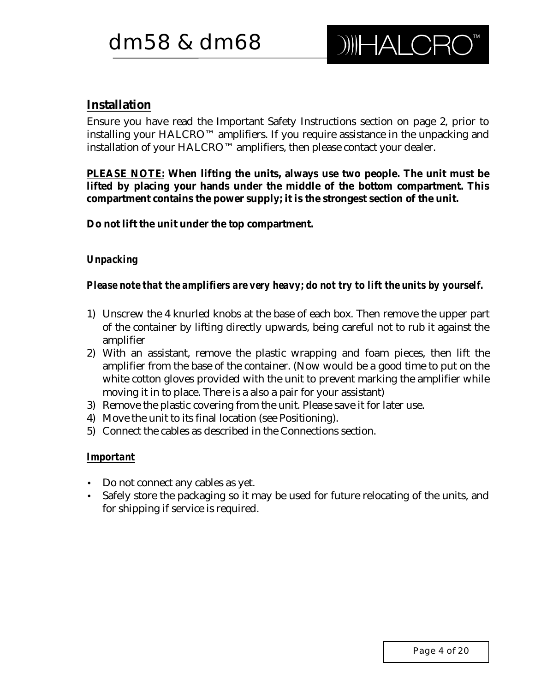# **Installation**

Ensure you have read the Important Safety Instructions section on page 2, prior to installing your HALCRO™ amplifiers. If you require assistance in the unpacking and installation of your HALCRO™ amplifiers, then please contact your dealer.

**PLEASE NOTE: When lifting the units, always use two people. The unit must be lifted by placing your hands under the middle of the bottom compartment. This compartment contains the power supply; it is the strongest section of the unit.**

**Do not lift the unit under the top compartment.**

## *Unpacking*

## *Please note that the amplifiers are very heavy; do not try to lift the units by yourself.*

- 1) Unscrew the 4 knurled knobs at the base of each box. Then remove the upper part of the container by lifting directly upwards, being careful not to rub it against the amplifier
- 2) With an assistant, remove the plastic wrapping and foam pieces, then lift the amplifier from the base of the container. (Now would be a good time to put on the white cotton gloves provided with the unit to prevent marking the amplifier while moving it in to place. There is a also a pair for your assistant)
- 3) Remove the plastic covering from the unit. Please save it for later use.
- 4) Move the unit to its final location (see Positioning).
- 5) Connect the cables as described in the Connections section.

#### *Important*

- Do not connect any cables as yet.
- Safely store the packaging so it may be used for future relocating of the units, and for shipping if service is required.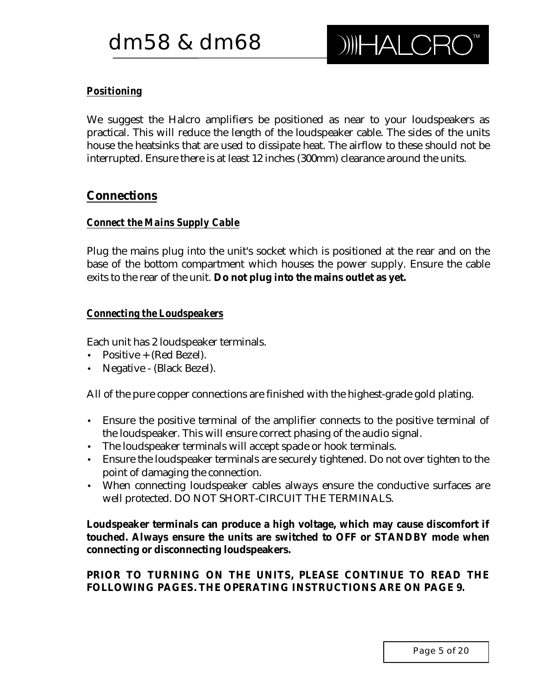# *Positioning*

We suggest the Halcro amplifiers be positioned as near to your loudspeakers as practical. This will reduce the length of the loudspeaker cable. The sides of the units house the heatsinks that are used to dissipate heat. The airflow to these should not be interrupted. Ensure there is at least 12 inches (300mm) clearance around the units.

# **Connections**

## *Connect the Mains Supply Cable*

Plug the mains plug into the unit's socket which is positioned at the rear and on the base of the bottom compartment which houses the power supply. Ensure the cable exits to the rear of the unit. **Do not plug into the mains outlet as yet.**

## *Connecting the Loudspeakers*

Each unit has 2 loudspeaker terminals.

- Positive + (Red Bezel).
- Negative (Black Bezel).

All of the pure copper connections are finished with the highest-grade gold plating.

- Ensure the positive terminal of the amplifier connects to the positive terminal of the loudspeaker. This will ensure correct phasing of the audio signal.
- The loudspeaker terminals will accept spade or hook terminals.
- Ensure the loudspeaker terminals are securely tightened. Do not over tighten to the point of damaging the connection.
- When connecting loudspeaker cables always ensure the conductive surfaces are well protected. DO NOT SHORT-CIRCUIT THE TERMINALS.

**Loudspeaker terminals can produce a high voltage, which may cause discomfort if touched. Always ensure the units are switched to OFF or STANDBY mode when connecting or disconnecting loudspeakers.**

**PRIOR TO TURNING ON THE UNITS, PLEASE CONTINUE TO READ THE FOLLOWING PAGES. THE OPERATING INSTRUCTIONS ARE ON PAGE 9.**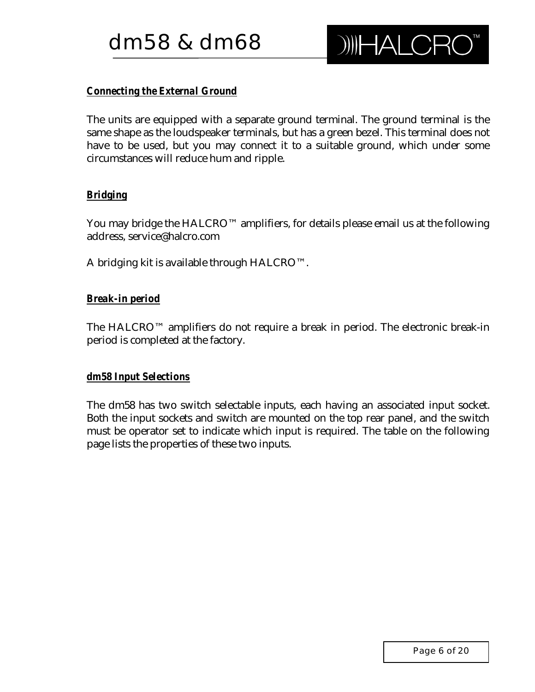# *Connecting the External Ground*

The units are equipped with a separate ground terminal. The ground terminal is the same shape as the loudspeaker terminals, but has a green bezel. This terminal does not have to be used, but you may connect it to a suitable ground, which under some circumstances will reduce hum and ripple.

## *Bridging*

You may bridge the HALCRO™ amplifiers, for details please email us at the following address, service@halcro.com

A bridging kit is available through HALCRO™.

## *Break-in period*

The HALCRO™ amplifiers do not require a break in period. The electronic break-in period is completed at the factory.

#### *dm58 Input Selections*

The dm58 has two switch selectable inputs, each having an associated input socket. Both the input sockets and switch are mounted on the top rear panel, and the switch must be operator set to indicate which input is required. The table on the following page lists the properties of these two inputs.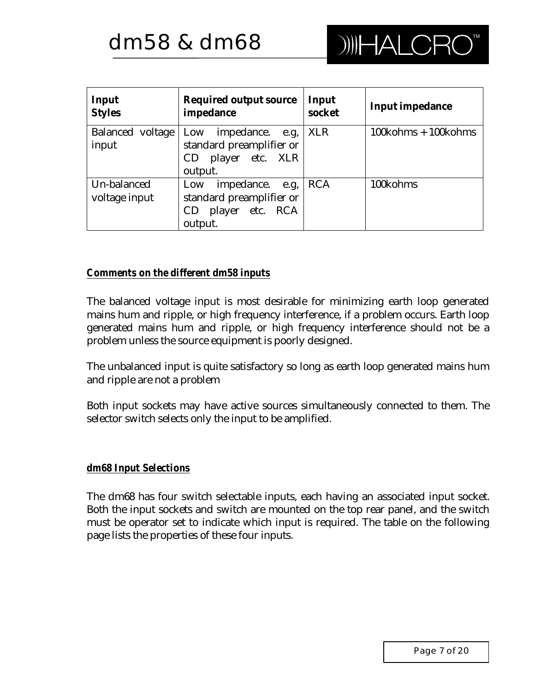| Input<br><b>Styles</b>           | Required output source<br>impedance                                                    | Input<br>socket | Input impedance                       |
|----------------------------------|----------------------------------------------------------------------------------------|-----------------|---------------------------------------|
| <b>Balanced</b> voltage<br>input | Low<br>impedance.<br>e.g,<br>standard preamplifier or<br>CD player etc. XLR<br>output. | <b>XLR</b>      | $100 \text{kohns} + 100 \text{kohns}$ |
| Un-balanced<br>voltage input     | impedance.<br>Low<br>e.g,<br>standard preamplifier or<br>CD player etc. RCA<br>output. | <b>RCA</b>      | 100kohms                              |

#### *Comments on the different dm58 inputs*

The balanced voltage input is most desirable for minimizing earth loop generated mains hum and ripple, or high frequency interference, if a problem occurs. Earth loop generated mains hum and ripple, or high frequency interference should not be a problem unless the source equipment is poorly designed.

The unbalanced input is quite satisfactory so long as earth loop generated mains hum and ripple are not a problem

Both input sockets may have active sources simultaneously connected to them. The selector switch selects only the input to be amplified.

#### *dm68 Input Selections*

The dm68 has four switch selectable inputs, each having an associated input socket. Both the input sockets and switch are mounted on the top rear panel, and the switch must be operator set to indicate which input is required. The table on the following page lists the properties of these four inputs.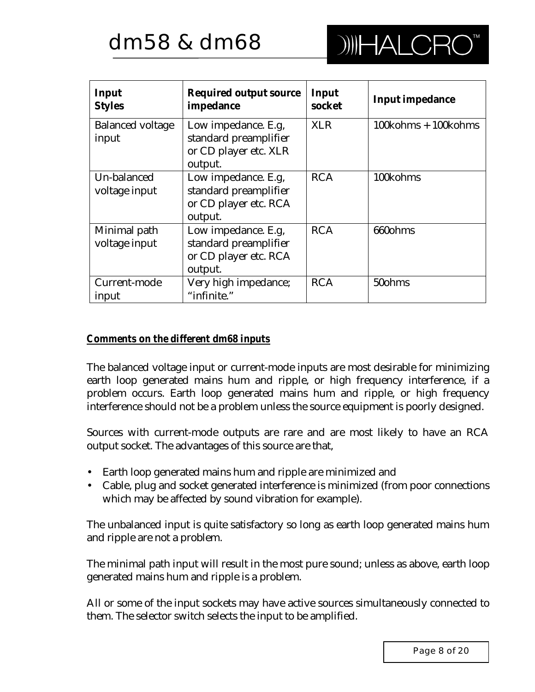

| Input<br><b>Styles</b>           | <b>Required output source</b><br>impedance                                       | Input<br>socket | <b>Input impedance</b>                |
|----------------------------------|----------------------------------------------------------------------------------|-----------------|---------------------------------------|
| <b>Balanced voltage</b><br>input | Low impedance. E.g.<br>standard preamplifier<br>or CD player etc. XLR<br>output. | <b>XLR</b>      | $100 \text{kohms} + 100 \text{kohms}$ |
| Un-balanced<br>voltage input     | Low impedance. E.g.<br>standard preamplifier<br>or CD player etc. RCA<br>output. | <b>RCA</b>      | 100kohms                              |
| Minimal path<br>voltage input    | Low impedance. E.g.<br>standard preamplifier<br>or CD player etc. RCA<br>output. | <b>RCA</b>      | 660ohms                               |
| <b>Current-mode</b><br>input     | Very high impedance;<br>"infinite."                                              | <b>RCA</b>      | 50ohms                                |

#### *Comments on the different dm68 inputs*

The balanced voltage input or current-mode inputs are most desirable for minimizing earth loop generated mains hum and ripple, or high frequency interference, if a problem occurs. Earth loop generated mains hum and ripple, or high frequency interference should not be a problem unless the source equipment is poorly designed.

Sources with current-mode outputs are rare and are most likely to have an RCA output socket. The advantages of this source are that,

- Earth loop generated mains hum and ripple are minimized and
- Cable, plug and socket generated interference is minimized (from poor connections which may be affected by sound vibration for example).

The unbalanced input is quite satisfactory so long as earth loop generated mains hum and ripple are not a problem.

The minimal path input will result in the most pure sound; unless as above, earth loop generated mains hum and ripple is a problem.

All or some of the input sockets may have active sources simultaneously connected to them. The selector switch selects the input to be amplified.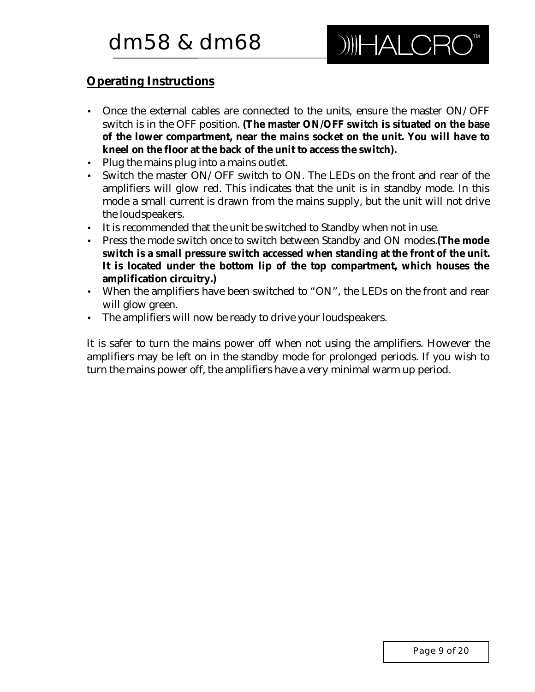# **Operating Instructions**

- Once the external cables are connected to the units, ensure the master ON/OFF switch is in the OFF position. **(The master ON/OFF switch is situated on the base of the lower compartment, near the mains socket on the unit. You will have to kneel on the floor at the back of the unit to access the switch).**
- Plug the mains plug into a mains outlet.
- Switch the master ON/OFF switch to ON. The LEDs on the front and rear of the amplifiers will glow red. This indicates that the unit is in standby mode. In this mode a small current is drawn from the mains supply, but the unit will not drive the loudspeakers.
- It is recommended that the unit be switched to Standby when not in use.
- Press the mode switch once to switch between Standby and ON modes.**(The mode switch is a small pressure switch accessed when standing at the front of the unit. It is located under the bottom lip of the top compartment, which houses the amplification circuitry.)**
- When the amplifiers have been switched to "ON", the LEDs on the front and rear will glow green.
- The amplifiers will now be ready to drive your loudspeakers.

It is safer to turn the mains power off when not using the amplifiers. However the amplifiers may be left on in the standby mode for prolonged periods. If you wish to turn the mains power off, the amplifiers have a very minimal warm up period.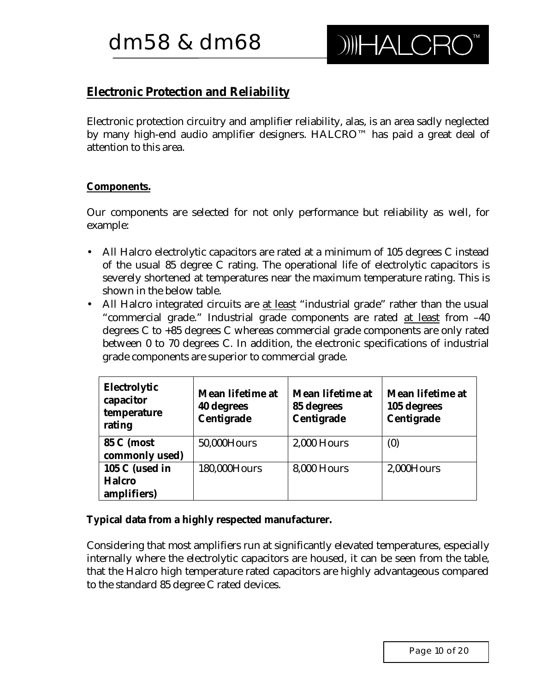# **Electronic Protection and Reliability**

Electronic protection circuitry and amplifier reliability, alas, is an area sadly neglected by many high-end audio amplifier designers. HALCRO™ has paid a great deal of attention to this area.

## **Components.**

Our components are selected for not only performance but reliability as well, for example:

- All Halcro electrolytic capacitors are rated at a minimum of 105 degrees C instead of the usual 85 degree C rating. The operational life of electrolytic capacitors is severely shortened at temperatures near the maximum temperature rating. This is shown in the below table.
- All Halcro integrated circuits are at least "industrial grade" rather than the usual "commercial grade." Industrial grade components are rated at least from –40 degrees C to +85 degrees C whereas commercial grade components are only rated between 0 to 70 degrees C. In addition, the electronic specifications of industrial grade components are superior to commercial grade.

| Electrolytic<br>capacitor<br>temperature<br>rating | Mean lifetime at<br><b>40 degrees</b><br>Centigrade | Mean lifetime at<br>85 degrees<br>Centigrade | Mean lifetime at<br>105 degrees<br>Centigrade |
|----------------------------------------------------|-----------------------------------------------------|----------------------------------------------|-----------------------------------------------|
| <b>85 C (most)</b><br>commonly used)               | 50,000Hours                                         | <b>2,000 Hours</b>                           | (0)                                           |
| 105 C (used in<br><b>Halcro</b><br>amplifiers)     | 180,000Hours                                        | <b>8,000 Hours</b>                           | 2,000Hours                                    |

**Typical data from a highly respected manufacturer.**

Considering that most amplifiers run at significantly elevated temperatures, especially internally where the electrolytic capacitors are housed, it can be seen from the table, that the Halcro high temperature rated capacitors are highly advantageous compared to the standard 85 degree C rated devices.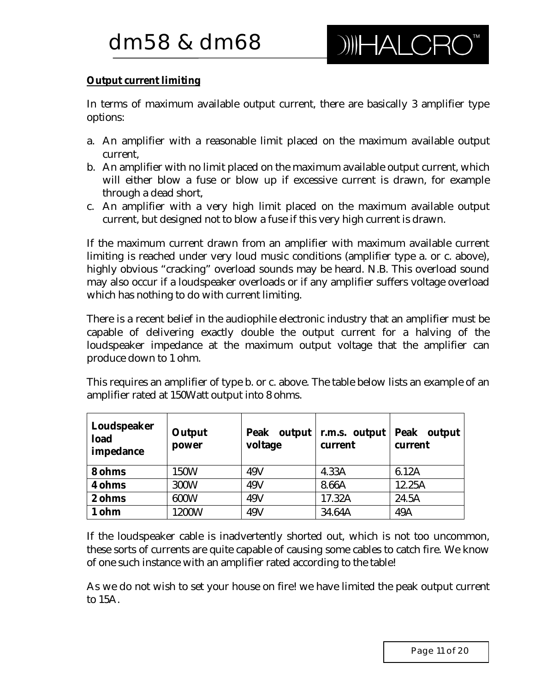## **Output current limiting**

In terms of maximum available output current, there are basically 3 amplifier type options:

- a. An amplifier with a reasonable limit placed on the maximum available output current,
- b. An amplifier with no limit placed on the maximum available output current, which will either blow a fuse or blow up if excessive current is drawn, for example through a dead short,
- c. An amplifier with a very high limit placed on the maximum available output current, but designed not to blow a fuse if this very high current is drawn.

If the maximum current drawn from an amplifier with maximum available current limiting is reached under very loud music conditions (amplifier type a. or c. above), highly obvious "cracking" overload sounds may be heard. N.B. This overload sound may also occur if a loudspeaker overloads or if any amplifier suffers voltage overload which has nothing to do with current limiting.

There is a recent belief in the audiophile electronic industry that an amplifier must be capable of delivering exactly double the output current for a halving of the loudspeaker impedance at the maximum output voltage that the amplifier can produce down to 1 ohm.

This requires an amplifier of type b. or c. above. The table below lists an example of an amplifier rated at 150Watt output into 8 ohms.

| Loudspeaker<br>load<br>impedance | Output<br>power | Peak output   r.m.s. output<br>voltage | current | Peak output<br>current |
|----------------------------------|-----------------|----------------------------------------|---------|------------------------|
| 8 ohms                           | 150W            | 49V                                    | 4.33A   | 6.12A                  |
| 4 ohms                           | <b>300W</b>     | 49V                                    | 8.66A   | 12.25A                 |
| 2 ohms                           | 600W            | 49V                                    | 17.32A  | 24.5A                  |
| 1 ohm                            | 1200W           | 49V                                    | 34.64A  | 49A                    |

If the loudspeaker cable is inadvertently shorted out, which is not too uncommon, these sorts of currents are quite capable of causing some cables to catch fire. We know of one such instance with an amplifier rated according to the table!

As we do not wish to set your house on fire! we have limited the peak output current to 15A.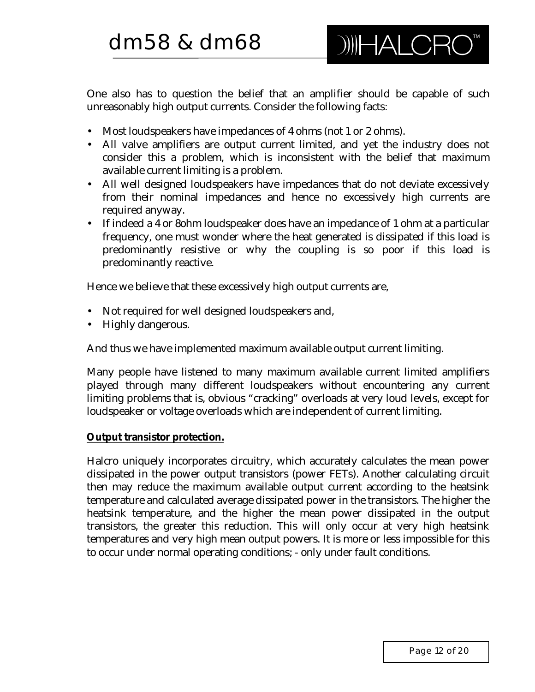One also has to question the belief that an amplifier should be capable of such unreasonably high output currents. Consider the following facts:

- Most loudspeakers have impedances of 4 ohms (not 1 or 2 ohms).
- All valve amplifiers are output current limited, and yet the industry does not consider this a problem, which is inconsistent with the belief that maximum available current limiting is a problem.
- All well designed loudspeakers have impedances that do not deviate excessively from their nominal impedances and hence no excessively high currents are required anyway.
- If indeed a 4 or 8ohm loudspeaker does have an impedance of 1 ohm at a particular frequency, one must wonder where the heat generated is dissipated if this load is predominantly resistive or why the coupling is so poor if this load is predominantly reactive.

Hence we believe that these excessively high output currents are,

- Not required for well designed loudspeakers and,
- Highly dangerous.

And thus we have implemented maximum available output current limiting.

Many people have listened to many maximum available current limited amplifiers played through many different loudspeakers without encountering any current limiting problems that is, obvious "cracking" overloads at very loud levels, except for loudspeaker or voltage overloads which are independent of current limiting.

#### **Output transistor protection.**

Halcro uniquely incorporates circuitry, which accurately calculates the mean power dissipated in the power output transistors (power FETs). Another calculating circuit then may reduce the maximum available output current according to the heatsink temperature and calculated average dissipated power in the transistors. The higher the heatsink temperature, and the higher the mean power dissipated in the output transistors, the greater this reduction. This will only occur at very high heatsink temperatures and very high mean output powers. It is more or less impossible for this to occur under normal operating conditions; - only under fault conditions.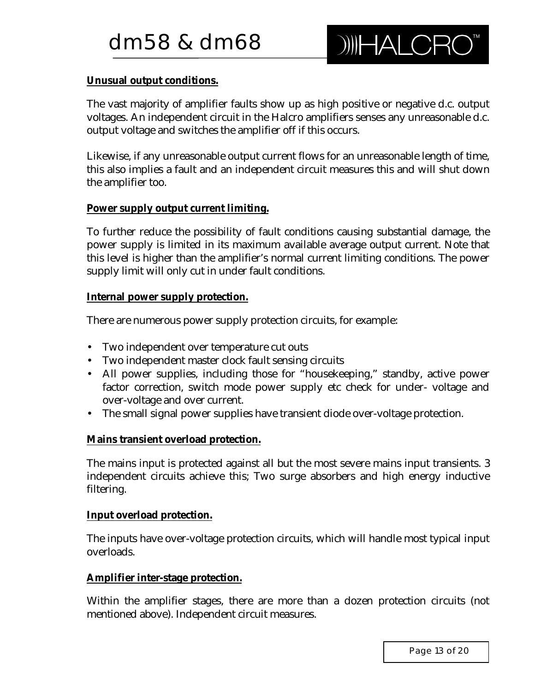#### **Unusual output conditions.**

The vast majority of amplifier faults show up as high positive or negative d.c. output voltages. An independent circuit in the Halcro amplifiers senses any unreasonable d.c. output voltage and switches the amplifier off if this occurs.

Likewise, if any unreasonable output current flows for an unreasonable length of time, this also implies a fault and an independent circuit measures this and will shut down the amplifier too.

#### **Power supply output current limiting.**

To further reduce the possibility of fault conditions causing substantial damage, the power supply is limited in its maximum available average output current. Note that this level is higher than the amplifier's normal current limiting conditions. The power supply limit will only cut in under fault conditions.

#### **Internal power supply protection.**

There are numerous power supply protection circuits, for example:

- Two independent over temperature cut outs
- Two independent master clock fault sensing circuits
- All power supplies, including those for "housekeeping," standby, active power factor correction, switch mode power supply etc check for under- voltage and over-voltage and over current.
- The small signal power supplies have transient diode over-voltage protection.

#### **Mains transient overload protection.**

The mains input is protected against all but the most severe mains input transients. 3 independent circuits achieve this; Two surge absorbers and high energy inductive filtering.

#### **Input overload protection.**

The inputs have over-voltage protection circuits, which will handle most typical input overloads.

#### **Amplifier inter-stage protection.**

Within the amplifier stages, there are more than a dozen protection circuits (not mentioned above). Independent circuit measures.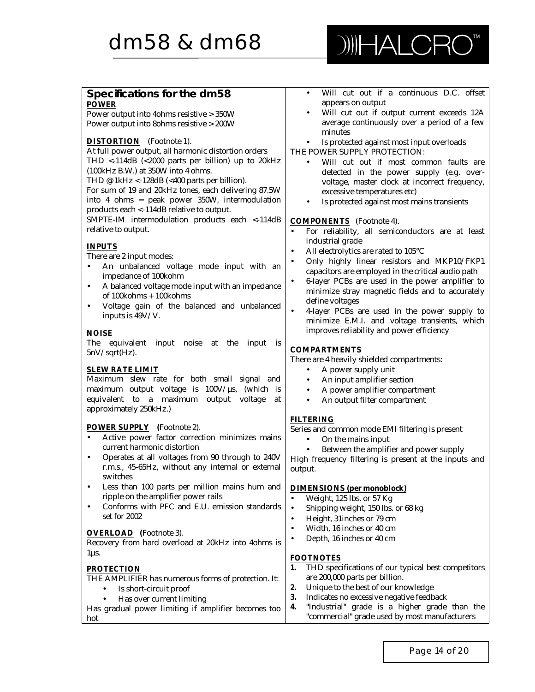

| Specifications for the dm58                                                                                        | Will cut out if a continuous D.C. offset<br>$\bullet$                                     |
|--------------------------------------------------------------------------------------------------------------------|-------------------------------------------------------------------------------------------|
| <b>POWER</b>                                                                                                       | appears on output                                                                         |
| Power output into 4ohms resistive > 350W                                                                           | Will cut out if output current exceeds 12A<br>$\bullet$                                   |
| Power output into 8ohms resistive > 200W                                                                           | average continuously over a period of a few                                               |
| <b>DISTORTION</b> (Footnote 1).                                                                                    | minutes                                                                                   |
| At full power output, all harmonic distortion orders                                                               | Is protected against most input overloads<br>٠<br>THE POWER SUPPLY PROTECTION:            |
| THD <-114dB (<2000 parts per billion) up to 20kHz                                                                  |                                                                                           |
| (100kHz B.W.) at 350W into 4 ohms.                                                                                 | Will cut out if most common faults are                                                    |
| THD @ 1kHz <-128dB (<400 parts per billion).                                                                       | detected in the power supply (e.g. over-<br>voltage, master clock at incorrect frequency, |
| For sum of 19 and 20kHz tones, each delivering 87.5W                                                               | excessive temperatures etc)                                                               |
| into 4 ohms = peak power 350W, intermodulation                                                                     | Is protected against most mains transients<br>$\bullet$                                   |
| products each <-114dB relative to output.                                                                          |                                                                                           |
| SMPTE-IM intermodulation products each <- 114dB                                                                    | <b>COMPONENTS</b> (Footnote 4).                                                           |
| relative to output.                                                                                                | For reliability, all semiconductors are at least<br>$\bullet$                             |
|                                                                                                                    | industrial grade                                                                          |
| <b>INPUTS</b>                                                                                                      | All electrolytics are rated to 105°C<br>$\bullet$                                         |
| There are 2 input modes:                                                                                           | Only highly linear resistors and MKP10/FKP1                                               |
| An unbalanced voltage mode input with an                                                                           | capacitors are employed in the critical audio path                                        |
| impedance of 100kohm                                                                                               | 6-layer PCBs are used in the power amplifier to<br>$\bullet$                              |
| A balanced voltage mode input with an impedance<br>٠                                                               | minimize stray magnetic fields and to accurately                                          |
| of 100kohms + 100kohms                                                                                             | define voltages                                                                           |
| Voltage gain of the balanced and unbalanced<br>$\bullet$                                                           | 4-layer PCBs are used in the power supply to<br>$\bullet$                                 |
| inputs is $49V/V$ .                                                                                                | minimize E.M.I. and voltage transients, which                                             |
|                                                                                                                    | improves reliability and power efficiency                                                 |
| <b>NOISE</b>                                                                                                       |                                                                                           |
| The<br>equivalent input noise<br>at the<br>input<br><b>is</b><br>$5nV/sqrt(Hz)$ .                                  | <b>COMPARTMENTS</b>                                                                       |
|                                                                                                                    | There are 4 heavily shielded compartments:                                                |
| <b>SLEW RATE LIMIT</b>                                                                                             | A power supply unit<br>٠                                                                  |
| Maximum slew rate for both small signal and                                                                        | An input amplifier section<br>$\bullet$                                                   |
| maximum output voltage is 100V/us, (which is                                                                       | A power amplifier compartment<br>$\bullet$                                                |
| to a maximum output<br>equivalent<br>voltage<br>at                                                                 | An output filter compartment<br>$\bullet$                                                 |
| approximately 250kHz.)                                                                                             |                                                                                           |
|                                                                                                                    | <b>FILTERING</b>                                                                          |
| <b>POWER SUPPLY</b> (Footnote 2).                                                                                  | Series and common mode EMI filtering is present                                           |
| Active power factor correction minimizes mains<br>$\bullet$                                                        | On the mains input<br>$\bullet$                                                           |
| current harmonic distortion                                                                                        | Between the amplifier and power supply<br>$\bullet$                                       |
| Operates at all voltages from 90 through to 240V<br>$\bullet$<br>r.m.s., 45-65Hz, without any internal or external | High frequency filtering is present at the inputs and                                     |
| switches                                                                                                           | output.                                                                                   |
| Less than 100 parts per million mains hum and<br>$\bullet$                                                         | <b>DIMENSIONS</b> (per monoblock)                                                         |
| ripple on the amplifier power rails                                                                                | Weight, 125 lbs. or 57 Kg<br>$\bullet$                                                    |
| Conforms with PFC and E.U. emission standards<br>$\bullet$                                                         | Shipping weight, 150 lbs. or 68 kg<br>$\bullet$                                           |
| set for 2002                                                                                                       | Height, 31 inches or 79 cm<br>$\bullet$                                                   |
|                                                                                                                    | Width, 16 inches or 40 cm<br>$\bullet$                                                    |
| <b>OVERLOAD</b> (Footnote 3).                                                                                      | Depth, 16 inches or 40 cm<br>$\bullet$                                                    |
| Recovery from hard overload at 20kHz into 4ohms is                                                                 |                                                                                           |
| $1\mu s$ .                                                                                                         | <b>FOOTNOTES</b>                                                                          |
| <b>PROTECTION</b>                                                                                                  | 1.<br>THD specifications of our typical best competitors                                  |
| THE AMPLIFIER has numerous forms of protection. It:                                                                | are 200,000 parts per billion.                                                            |
| Is short-circuit proof                                                                                             | Unique to the best of our knowledge<br>2.                                                 |
| Has over current limiting                                                                                          | 3.<br>Indicates no excessive negative feedback                                            |
| Has gradual power limiting if amplifier becomes too                                                                | "Industrial" grade is a higher grade than the<br>4.                                       |
| hot                                                                                                                | "commercial" grade used by most manufacturers                                             |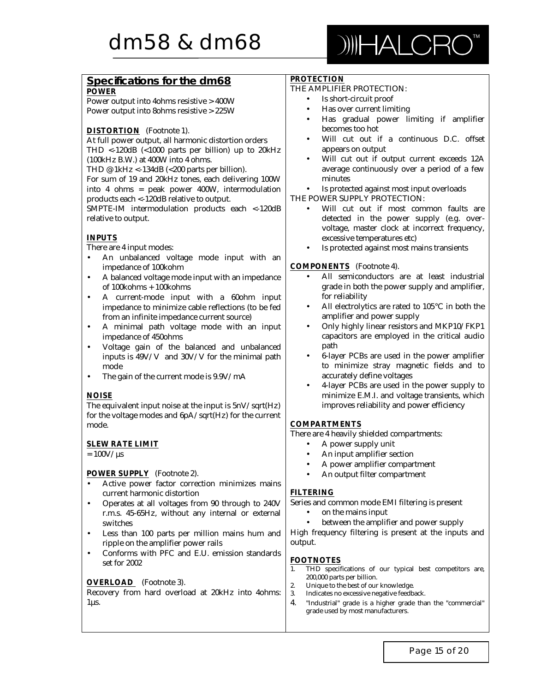

| Specifications for the dm68                                                                                       | <b>PROTECTION</b><br>THE AMPLIFIER PROTECTION:                                          |
|-------------------------------------------------------------------------------------------------------------------|-----------------------------------------------------------------------------------------|
| <b>POWER</b>                                                                                                      | Is short-circuit proof<br>$\bullet$                                                     |
| Power output into 4ohms resistive > 400W                                                                          | Has over current limiting                                                               |
| Power output into 8ohms resistive > 225W                                                                          | $\bullet$<br>Has gradual power limiting if amplifier<br>$\bullet$                       |
|                                                                                                                   | becomes too hot                                                                         |
| <b>DISTORTION</b> (Footnote 1).                                                                                   | Will cut out if a continuous D.C. offset<br>$\bullet$                                   |
| At full power output, all harmonic distortion orders                                                              | appears on output                                                                       |
| THD <- 120dB (< 1000 parts per billion) up to 20kHz<br>(100kHz B.W.) at 400W into 4 ohms.                         | Will cut out if output current exceeds 12A<br>$\bullet$                                 |
| THD @ 1kHz <-134dB (<200 parts per billion).                                                                      | average continuously over a period of a few                                             |
| For sum of 19 and 20kHz tones, each delivering 100W                                                               | minutes                                                                                 |
| into 4 ohms = peak power 400W, intermodulation                                                                    | Is protected against most input overloads<br>٠                                          |
| products each <-120dB relative to output.                                                                         | THE POWER SUPPLY PROTECTION:                                                            |
| SMPTE-IM intermodulation products each <- 120dB                                                                   | Will cut out if most common faults are<br>$\bullet$                                     |
| relative to output.                                                                                               | detected in the power supply (e.g. over-                                                |
|                                                                                                                   | voltage, master clock at incorrect frequency,                                           |
| <b>INPUTS</b>                                                                                                     | excessive temperatures etc)                                                             |
| There are 4 input modes:                                                                                          | Is protected against most mains transients                                              |
| An unbalanced voltage mode input with an                                                                          |                                                                                         |
| impedance of 100kohm                                                                                              | <b>COMPONENTS</b> (Footnote 4).                                                         |
| A balanced voltage mode input with an impedance<br>$\bullet$                                                      | All semiconductors are at least industrial<br>$\bullet$                                 |
| of 100kohms + 100kohms                                                                                            | grade in both the power supply and amplifier,                                           |
| A current-mode input with a 60ohm input<br>$\bullet$                                                              | for reliability                                                                         |
| impedance to minimize cable reflections (to be fed                                                                | All electrolytics are rated to 105°C in both the<br>$\bullet$                           |
| from an infinite impedance current source)                                                                        | amplifier and power supply<br>Only highly linear resistors and MKP10/FKP1               |
| A minimal path voltage mode with an input<br>$\bullet$                                                            | $\bullet$<br>capacitors are employed in the critical audio                              |
| impedance of 450ohms                                                                                              | path                                                                                    |
| Voltage gain of the balanced and unbalanced<br>$\bullet$<br>inputs is 49V/V and 30V/V for the minimal path        | 6-layer PCBs are used in the power amplifier<br>$\bullet$                               |
| mode                                                                                                              | to minimize stray magnetic fields and to                                                |
| The gain of the current mode is 9.9V/mA<br>$\bullet$                                                              | accurately define voltages                                                              |
|                                                                                                                   | 4-layer PCBs are used in the power supply to<br>$\bullet$                               |
| <b>NOISE</b>                                                                                                      | minimize E.M.I. and voltage transients, which                                           |
| The equivalent input noise at the input is $5nV/sqrt(Hz)$                                                         | improves reliability and power efficiency                                               |
| for the voltage modes and 6pA/sqrt(Hz) for the current                                                            |                                                                                         |
| mode.                                                                                                             | <b>COMPARTMENTS</b>                                                                     |
|                                                                                                                   | There are 4 heavily shielded compartments:                                              |
| <b>SLEW RATE LIMIT</b>                                                                                            | A power supply unit<br>$\bullet$                                                        |
| $= 100$ V/ $\mu$ s                                                                                                | An input amplifier section<br>$\bullet$                                                 |
|                                                                                                                   | A power amplifier compartment<br>٠                                                      |
| <b>POWER SUPPLY</b> (Footnote 2).                                                                                 | An output filter compartment                                                            |
| Active power factor correction minimizes mains<br>٠                                                               |                                                                                         |
| current harmonic distortion                                                                                       | <b>FILTERING</b><br>Series and common mode EMI filtering is present                     |
| Operates at all voltages from 90 through to 240V<br>$\bullet$<br>r.m.s. 45-65Hz, without any internal or external | on the mains input<br>$\bullet$                                                         |
| switches                                                                                                          | between the amplifier and power supply<br>$\bullet$                                     |
| Less than 100 parts per million mains hum and<br>$\bullet$                                                        | High frequency filtering is present at the inputs and                                   |
| ripple on the amplifier power rails                                                                               | output.                                                                                 |
| Conforms with PFC and E.U. emission standards<br>$\bullet$                                                        |                                                                                         |
| set for 2002                                                                                                      | <b>FOOTNOTES</b>                                                                        |
|                                                                                                                   | 1.<br>THD specifications of our typical best competitors are,                           |
| <b>OVERLOAD</b> (Footnote 3).                                                                                     | 200,000 parts per billion.<br>2.                                                        |
| Recovery from hard overload at 20kHz into 4ohms:                                                                  | Unique to the best of our knowledge.<br>3.<br>Indicates no excessive negative feedback. |
| $1\mu s$ .                                                                                                        | 4.<br>"Industrial" grade is a higher grade than the "commercial"                        |
|                                                                                                                   | grade used by most manufacturers.                                                       |
|                                                                                                                   |                                                                                         |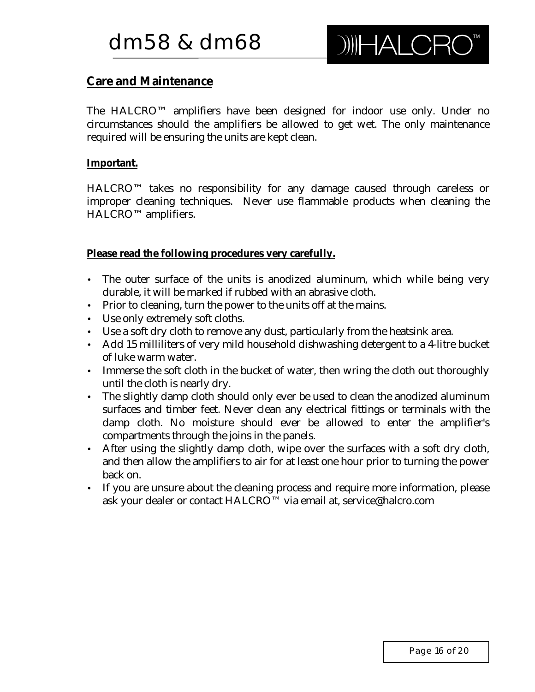# **Care and Maintenance**

The HALCRO™ amplifiers have been designed for indoor use only. Under no circumstances should the amplifiers be allowed to get wet. The only maintenance required will be ensuring the units are kept clean.

#### **Important.**

HALCRO™ takes no responsibility for any damage caused through careless or improper cleaning techniques. Never use flammable products when cleaning the HALCRO™ amplifiers.

**Please read the following procedures very carefully.**

- The outer surface of the units is anodized aluminum, which while being very durable, it will be marked if rubbed with an abrasive cloth.
- Prior to cleaning, turn the power to the units off at the mains.
- Use only extremely soft cloths.
- Use a soft dry cloth to remove any dust, particularly from the heatsink area.
- Add 15 milliliters of very mild household dishwashing detergent to a 4-litre bucket of luke warm water.
- Immerse the soft cloth in the bucket of water, then wring the cloth out thoroughly until the cloth is nearly dry.
- The slightly damp cloth should only ever be used to clean the anodized aluminum surfaces and timber feet. Never clean any electrical fittings or terminals with the damp cloth. No moisture should ever be allowed to enter the amplifier's compartments through the joins in the panels.
- After using the slightly damp cloth, wipe over the surfaces with a soft dry cloth, and then allow the amplifiers to air for at least one hour prior to turning the power back on.
- If you are unsure about the cleaning process and require more information, please ask your dealer or contact HALCRO™ via email at, service@halcro.com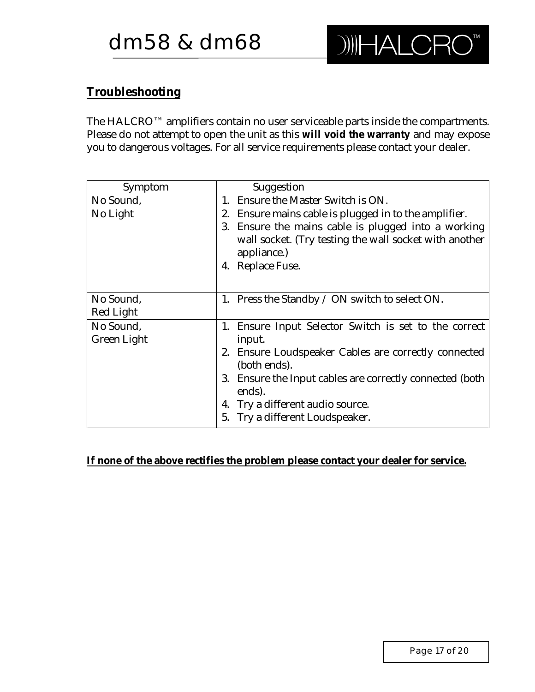# **Troubleshooting**

The HALCRO™ amplifiers contain no user serviceable parts inside the compartments. Please do not attempt to open the unit as this **will void the warranty** and may expose you to dangerous voltages. For all service requirements please contact your dealer.

| Symptom            | <b>Suggestion</b>                                                  |
|--------------------|--------------------------------------------------------------------|
| No Sound,          | <b>Ensure the Master Switch is ON.</b><br>1.                       |
| No Light           | Ensure mains cable is plugged in to the amplifier.<br>2.           |
|                    | Ensure the mains cable is plugged into a working<br>3.             |
|                    | wall socket. (Try testing the wall socket with another             |
|                    | appliance.)                                                        |
|                    | <b>Replace Fuse.</b><br>4.                                         |
|                    |                                                                    |
| No Sound,          | 1. Press the Standby $\angle$ ON switch to select ON.              |
| <b>Red Light</b>   |                                                                    |
| No Sound,          | Ensure Input Selector Switch is set to the correct<br>1.           |
| <b>Green Light</b> | input.                                                             |
|                    | 2. Ensure Loudspeaker Cables are correctly connected               |
|                    | (both ends).                                                       |
|                    | 3. Ensure the Input cables are correctly connected (both<br>ends). |
|                    | Try a different audio source.<br>4.                                |
|                    | 5. Try a different Loudspeaker.                                    |

## **If none of the above rectifies the problem please contact your dealer for service.**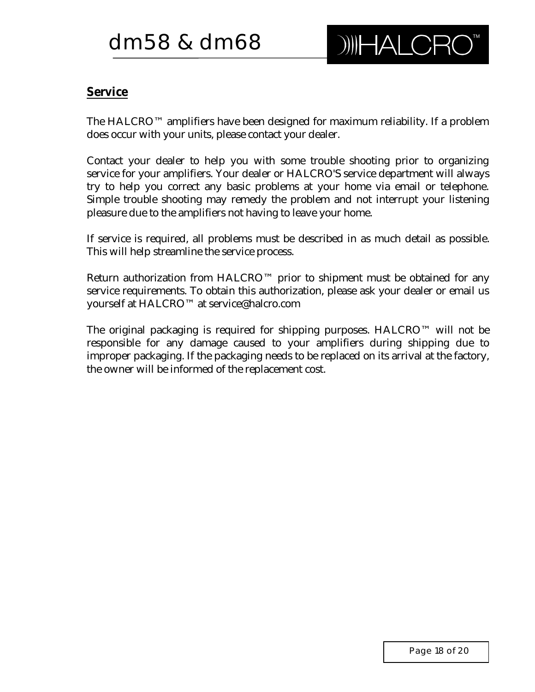# **Service**

The HALCRO™ amplifiers have been designed for maximum reliability. If a problem does occur with your units, please contact your dealer.

Contact your dealer to help you with some trouble shooting prior to organizing service for your amplifiers. Your dealer or HALCRO'S service department will always try to help you correct any basic problems at your home via email or telephone. Simple trouble shooting may remedy the problem and not interrupt your listening pleasure due to the amplifiers not having to leave your home.

If service is required, all problems must be described in as much detail as possible. This will help streamline the service process.

Return authorization from HALCRO<sup>™</sup> prior to shipment must be obtained for any service requirements. To obtain this authorization, please ask your dealer or email us yourself at HALCRO™ at service@halcro.com

The original packaging is required for shipping purposes. HALCRO™ will not be responsible for any damage caused to your amplifiers during shipping due to improper packaging. If the packaging needs to be replaced on its arrival at the factory, the owner will be informed of the replacement cost.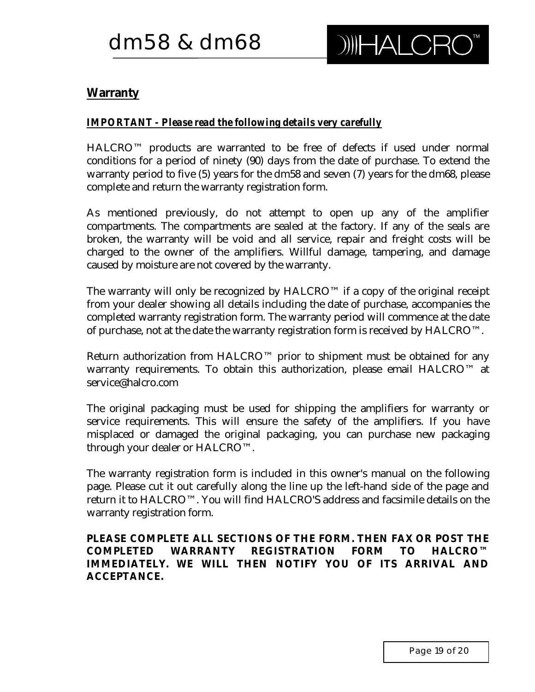# **Warranty**

## *IMPORTANT - Please read the following details very carefully*

HALCRO™ products are warranted to be free of defects if used under normal conditions for a period of ninety (90) days from the date of purchase. To extend the warranty period to five (5) years for the dm58 and seven (7) years for the dm68, please complete and return the warranty registration form.

As mentioned previously, do not attempt to open up any of the amplifier compartments. The compartments are sealed at the factory. If any of the seals are broken, the warranty will be void and all service, repair and freight costs will be charged to the owner of the amplifiers. Willful damage, tampering, and damage caused by moisture are not covered by the warranty.

The warranty will only be recognized by  $HALCRO^{TM}$  if a copy of the original receipt from your dealer showing all details including the date of purchase, accompanies the completed warranty registration form. The warranty period will commence at the date of purchase, not at the date the warranty registration form is received by HALCRO™.

Return authorization from HALCRO™ prior to shipment must be obtained for any warranty requirements. To obtain this authorization, please email HALCRO™ at service@halcro.com

The original packaging must be used for shipping the amplifiers for warranty or service requirements. This will ensure the safety of the amplifiers. If you have misplaced or damaged the original packaging, you can purchase new packaging through your dealer or HALCRO™.

The warranty registration form is included in this owner's manual on the following page. Please cut it out carefully along the line up the left-hand side of the page and return it to HALCRO™. You will find HALCRO'S address and facsimile details on the warranty registration form.

**PLEASE COMPLETE ALL SECTIONS OF THE FORM. THEN FAX OR POST THE COMPLETED WARRANTY REGISTRATION FORM TO HALCRO™ IMMEDIATELY. WE WILL THEN NOTIFY YOU OF ITS ARRIVAL AND ACCEPTANCE.**